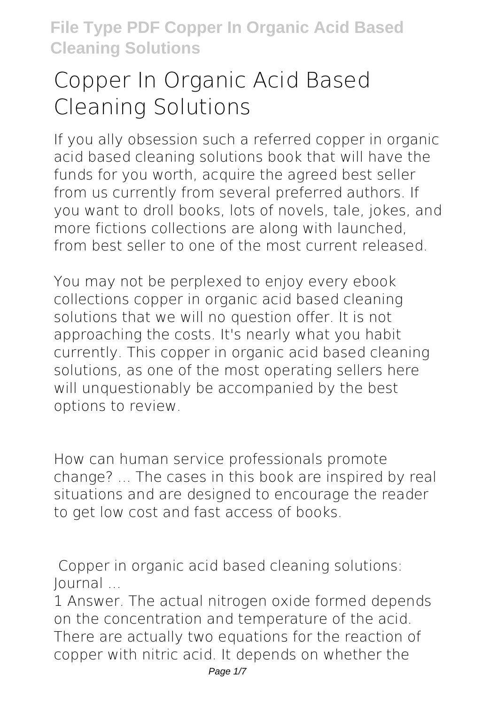# **Copper In Organic Acid Based Cleaning Solutions**

If you ally obsession such a referred **copper in organic acid based cleaning solutions** book that will have the funds for you worth, acquire the agreed best seller from us currently from several preferred authors. If you want to droll books, lots of novels, tale, jokes, and more fictions collections are along with launched, from best seller to one of the most current released.

You may not be perplexed to enjoy every ebook collections copper in organic acid based cleaning solutions that we will no question offer. It is not approaching the costs. It's nearly what you habit currently. This copper in organic acid based cleaning solutions, as one of the most operating sellers here will unquestionably be accompanied by the best options to review.

How can human service professionals promote change? ... The cases in this book are inspired by real situations and are designed to encourage the reader to get low cost and fast access of books.

**Copper in organic acid based cleaning solutions: Journal ...**

1 Answer. The actual nitrogen oxide formed depends on the concentration and temperature of the acid. There are actually two equations for the reaction of copper with nitric acid. It depends on whether the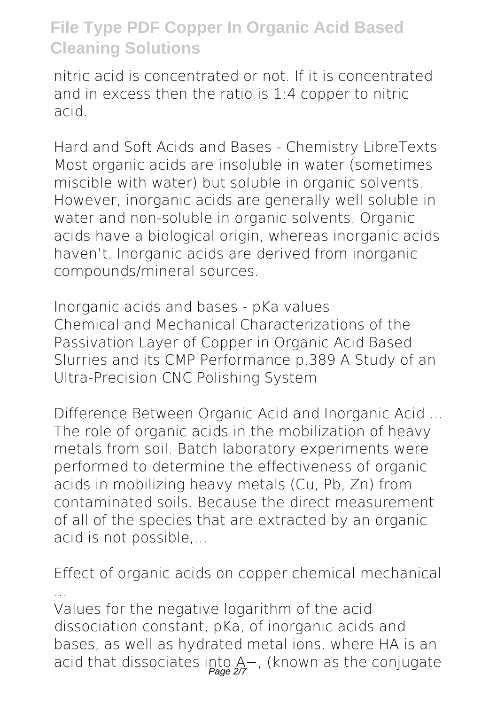nitric acid is concentrated or not. If it is concentrated and in excess then the ratio is 1:4 copper to nitric acid.

**Hard and Soft Acids and Bases - Chemistry LibreTexts** Most organic acids are insoluble in water (sometimes miscible with water) but soluble in organic solvents. However, inorganic acids are generally well soluble in water and non-soluble in organic solvents. Organic acids have a biological origin, whereas inorganic acids haven't. Inorganic acids are derived from inorganic compounds/mineral sources.

**Inorganic acids and bases - pKa values** Chemical and Mechanical Characterizations of the Passivation Layer of Copper in Organic Acid Based Slurries and its CMP Performance p.389 A Study of an Ultra-Precision CNC Polishing System

**Difference Between Organic Acid and Inorganic Acid ...** The role of organic acids in the mobilization of heavy metals from soil. Batch laboratory experiments were performed to determine the effectiveness of organic acids in mobilizing heavy metals (Cu, Pb, Zn) from contaminated soils. Because the direct measurement of all of the species that are extracted by an organic acid is not possible,...

**Effect of organic acids on copper chemical mechanical ...** Values for the negative logarithm of the acid dissociation constant, pKa, of inorganic acids and bases, as well as hydrated metal ions. where HA is an acid that dissociates into A−, (known as the conjugate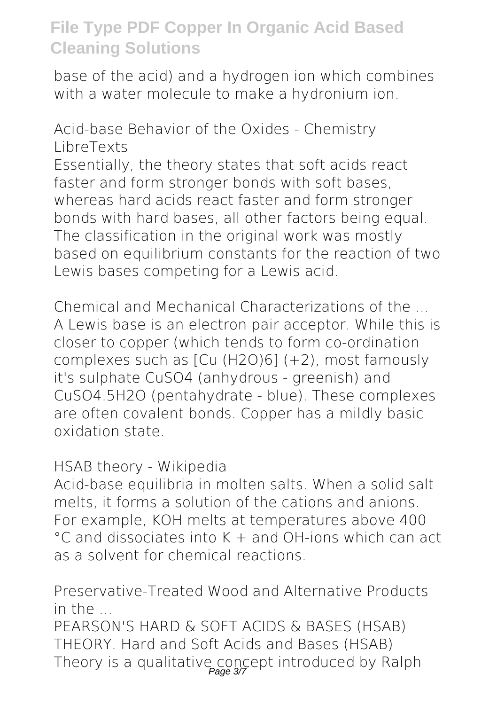base of the acid) and a hydrogen ion which combines with a water molecule to make a hydronium ion.

**Acid-base Behavior of the Oxides - Chemistry LibreTexts** Essentially, the theory states that soft acids react

faster and form stronger bonds with soft bases, whereas hard acids react faster and form stronger bonds with hard bases, all other factors being equal. The classification in the original work was mostly based on equilibrium constants for the reaction of two Lewis bases competing for a Lewis acid.

**Chemical and Mechanical Characterizations of the ...** A Lewis base is an electron pair acceptor. While this is closer to copper (which tends to form co-ordination complexes such as [Cu (H2O)6] (+2), most famously it's sulphate CuSO4 (anhydrous - greenish) and CuSO4.5H2O (pentahydrate - blue). These complexes are often covalent bonds. Copper has a mildly basic oxidation state.

#### **HSAB theory - Wikipedia**

Acid-base equilibria in molten salts. When a solid salt melts, it forms a solution of the cations and anions. For example, KOH melts at temperatures above 400 °C and dissociates into K + and OH-ions which can act as a solvent for chemical reactions.

**Preservative-Treated Wood and Alternative Products in the ...**

PEARSON'S HARD & SOFT ACIDS & BASES (HSAB) THEORY. Hard and Soft Acids and Bases (HSAB) Theory is a qualitative concept introduced by Ralph<br>Page 37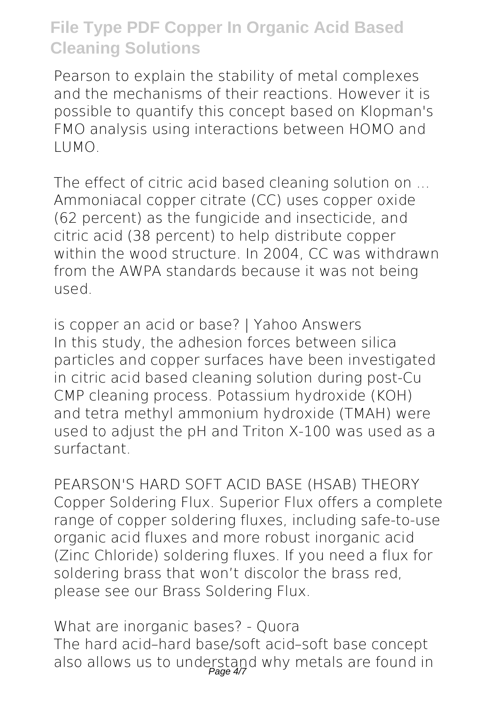Pearson to explain the stability of metal complexes and the mechanisms of their reactions. However it is possible to quantify this concept based on Klopman's FMO analysis using interactions between HOMO and LUMO.

**The effect of citric acid based cleaning solution on ...** Ammoniacal copper citrate (CC) uses copper oxide (62 percent) as the fungicide and insecticide, and citric acid (38 percent) to help distribute copper within the wood structure. In 2004, CC was withdrawn from the AWPA standards because it was not being used.

**is copper an acid or base? | Yahoo Answers** In this study, the adhesion forces between silica particles and copper surfaces have been investigated in citric acid based cleaning solution during post-Cu CMP cleaning process. Potassium hydroxide (KOH) and tetra methyl ammonium hydroxide (TMAH) were used to adjust the pH and Triton X-100 was used as a surfactant.

**PEARSON'S HARD SOFT ACID BASE (HSAB) THEORY** Copper Soldering Flux. Superior Flux offers a complete range of copper soldering fluxes, including safe-to-use organic acid fluxes and more robust inorganic acid (Zinc Chloride) soldering fluxes. If you need a flux for soldering brass that won't discolor the brass red, please see our Brass Soldering Flux.

**What are inorganic bases? - Quora** The hard acid–hard base/soft acid–soft base concept also allows us to understand why metals are found in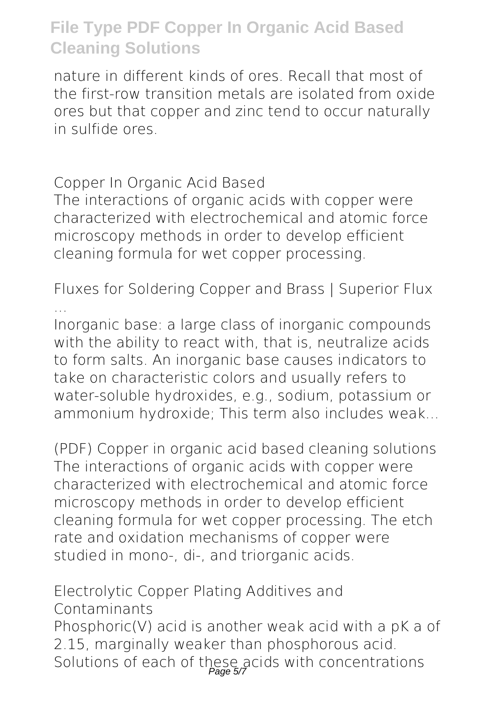nature in different kinds of ores. Recall that most of the first-row transition metals are isolated from oxide ores but that copper and zinc tend to occur naturally in sulfide ores.

**Copper In Organic Acid Based**

The interactions of organic acids with copper were characterized with electrochemical and atomic force microscopy methods in order to develop efficient cleaning formula for wet copper processing.

**Fluxes for Soldering Copper and Brass | Superior Flux ...**

Inorganic base: a large class of inorganic compounds with the ability to react with, that is, neutralize acids to form salts. An inorganic base causes indicators to take on characteristic colors and usually refers to water-soluble hydroxides, e.g., sodium, potassium or ammonium hydroxide; This term also includes weak...

**(PDF) Copper in organic acid based cleaning solutions** The interactions of organic acids with copper were characterized with electrochemical and atomic force microscopy methods in order to develop efficient cleaning formula for wet copper processing. The etch rate and oxidation mechanisms of copper were studied in mono-, di-, and triorganic acids.

**Electrolytic Copper Plating Additives and Contaminants** Phosphoric(V) acid is another weak acid with a pK a of 2.15, marginally weaker than phosphorous acid. Solutions of each of these acids with concentrations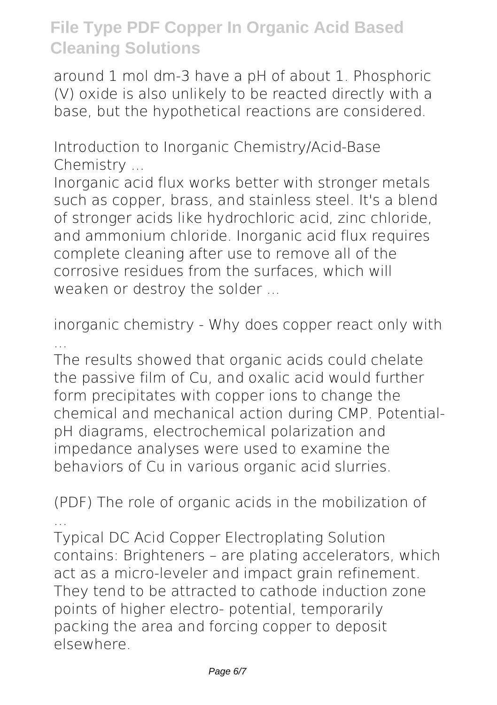around 1 mol dm-3 have a pH of about 1. Phosphoric (V) oxide is also unlikely to be reacted directly with a base, but the hypothetical reactions are considered.

**Introduction to Inorganic Chemistry/Acid-Base Chemistry ...**

Inorganic acid flux works better with stronger metals such as copper, brass, and stainless steel. It's a blend of stronger acids like hydrochloric acid, zinc chloride, and ammonium chloride. Inorganic acid flux requires complete cleaning after use to remove all of the corrosive residues from the surfaces, which will weaken or destroy the solder ...

**inorganic chemistry - Why does copper react only with ...**

The results showed that organic acids could chelate the passive film of Cu, and oxalic acid would further form precipitates with copper ions to change the chemical and mechanical action during CMP. PotentialpH diagrams, electrochemical polarization and impedance analyses were used to examine the behaviors of Cu in various organic acid slurries.

**(PDF) The role of organic acids in the mobilization of ...**

Typical DC Acid Copper Electroplating Solution contains: Brighteners – are plating accelerators, which act as a micro-leveler and impact grain refinement. They tend to be attracted to cathode induction zone points of higher electro- potential, temporarily packing the area and forcing copper to deposit elsewhere.